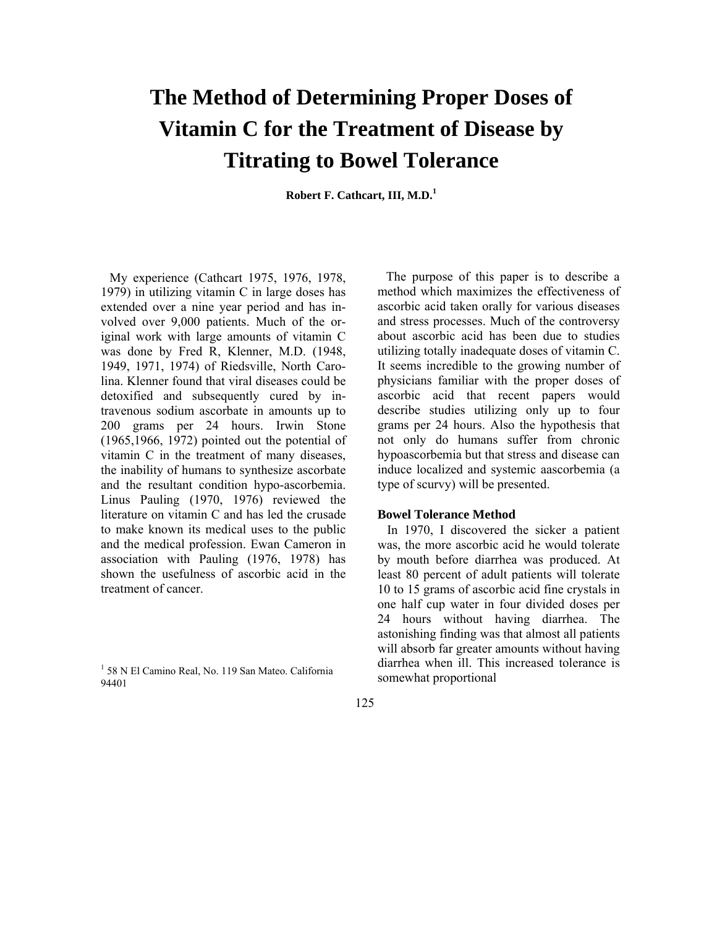# **The Method of Determining Proper Doses of Vitamin C for the Treatment of Disease by Titrating to Bowel Tolerance**

**Robert F. Cathcart, III, M.D.<sup>1</sup>**

My experience (Cathcart 1975, 1976, 1978, 1979) in utilizing vitamin C in large doses has extended over a nine year period and has involved over 9,000 patients. Much of the original work with large amounts of vitamin C was done by Fred R, Klenner, M.D. (1948, 1949, 1971, 1974) of Riedsville, North Carolina. Klenner found that viral diseases could be detoxified and subsequently cured by intravenous sodium ascorbate in amounts up to 200 grams per 24 hours. Irwin Stone (1965,1966, 1972) pointed out the potential of vitamin C in the treatment of many diseases, the inability of humans to synthesize ascorbate and the resultant condition hypo-ascorbemia. Linus Pauling (1970, 1976) reviewed the literature on vitamin C and has led the crusade to make known its medical uses to the public and the medical profession. Ewan Cameron in association with Pauling (1976, 1978) has shown the usefulness of ascorbic acid in the treatment of cancer.

1 58 N El Camino Real, No. 119 San Mateo. California 94401

The purpose of this paper is to describe a method which maximizes the effectiveness of ascorbic acid taken orally for various diseases and stress processes. Much of the controversy about ascorbic acid has been due to studies utilizing totally inadequate doses of vitamin C. It seems incredible to the growing number of physicians familiar with the proper doses of ascorbic acid that recent papers would describe studies utilizing only up to four grams per 24 hours. Also the hypothesis that not only do humans suffer from chronic hypoascorbemia but that stress and disease can induce localized and systemic aascorbemia (a type of scurvy) will be presented.

## **Bowel Tolerance Method**

In 1970, I discovered the sicker a patient was, the more ascorbic acid he would tolerate by mouth before diarrhea was produced. At least 80 percent of adult patients will tolerate 10 to 15 grams of ascorbic acid fine crystals in one half cup water in four divided doses per 24 hours without having diarrhea. The astonishing finding was that almost all patients will absorb far greater amounts without having diarrhea when ill. This increased tolerance is somewhat proportional

125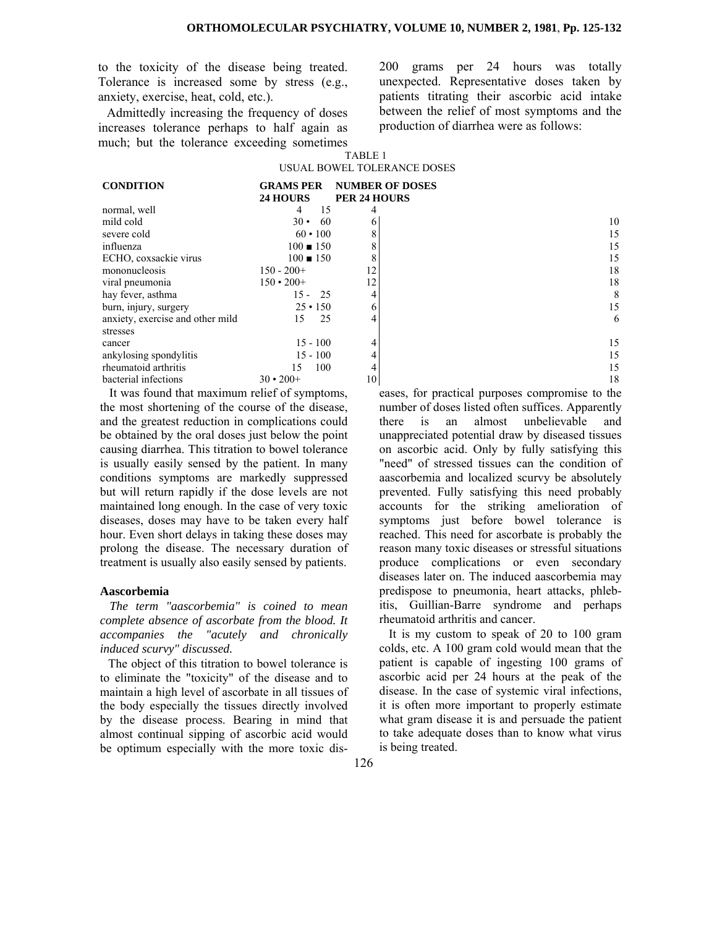to the toxicity of the disease being treated. Tolerance is increased some by stress (e.g., anxiety, exercise, heat, cold, etc.).

Admittedly increasing the frequency of doses increases tolerance perhaps to half again as much; but the tolerance exceeding sometimes 200 grams per 24 hours was totally unexpected. Representative doses taken by patients titrating their ascorbic acid intake between the relief of most symptoms and the production of diarrhea were as follows:

| TABLE 1                     |
|-----------------------------|
| USUAL BOWEL TOLERANCE DOSES |

| <b>CONDITION</b>                 | <b>GRAMS PER</b>  | <b>NUMBER OF DOSES</b> |    |
|----------------------------------|-------------------|------------------------|----|
|                                  | <b>24 HOURS</b>   | <b>PER 24 HOURS</b>    |    |
| normal, well                     | 15<br>4           | 4                      |    |
| mild cold                        | $30 \cdot$<br>-60 | 6                      | 10 |
| severe cold                      | $60 \cdot 100$    |                        | 15 |
| influenza                        | $100 \pm 150$     |                        | 15 |
| ECHO, coxsackie virus            | $100 \pm 150$     |                        | 15 |
| mononucleosis                    | $150 - 200 +$     | 12                     | 18 |
| viral pneumonia                  | $150 \cdot 200+$  | 12                     | 18 |
| hay fever, asthma                | $15 - 25$         | 4                      | 8  |
| burn, injury, surgery            | $25 \cdot 150$    | 6                      | 15 |
| anxiety, exercise and other mild | 25<br>15          |                        | 6  |
| stresses                         |                   |                        |    |
| cancer                           | $15 - 100$        |                        | 15 |
| ankylosing spondylitis           | $15 - 100$        |                        | 15 |
| rheumatoid arthritis             | 100<br>15         |                        | 15 |
| bacterial infections             | $30 \cdot 200+$   | 10                     | 18 |

It was found that maximum relief of symptoms, the most shortening of the course of the disease, and the greatest reduction in complications could be obtained by the oral doses just below the point causing diarrhea. This titration to bowel tolerance is usually easily sensed by the patient. In many conditions symptoms are markedly suppressed but will return rapidly if the dose levels are not maintained long enough. In the case of very toxic diseases, doses may have to be taken every half hour. Even short delays in taking these doses may prolong the disease. The necessary duration of treatment is usually also easily sensed by patients.

## **Aascorbemia**

*The term "aascorbemia" is coined to mean complete absence of ascorbate from the blood. It accompanies the "acutely and chronically induced scurvy" discussed.*

The object of this titration to bowel tolerance is to eliminate the "toxicity" of the disease and to maintain a high level of ascorbate in all tissues of the body especially the tissues directly involved by the disease process. Bearing in mind that almost continual sipping of ascorbic acid would be optimum especially with the more toxic dis-

|                       | $\sim$ - $\sim$ |    |
|-----------------------|-----------------|----|
| $\overline{4}$<br>15  | 4               |    |
| $30 \cdot$<br>60      | 6               |    |
| $60 \cdot 100$        | 8               | 15 |
| $00 \blacksquare 150$ | 8               | 15 |
| $00 \blacksquare 150$ | 8               | 15 |
| $0+$                  | 12              | 18 |
| $0+$                  | 12              | 18 |
| 15 -<br>- 25          | $\overline{4}$  |    |
| $25 \cdot 150$        | 6               | 15 |
| 15<br>25              | 4               |    |
| $15 - 100$            | 4               | 15 |
| $15 - 100$            | 4               | 15 |
| 100<br>15             | 4               | 15 |
| $+$                   | 10              | 18 |
|                       |                 |    |

eases, for practical purposes compromise to the number of doses listed often suffices. Apparently there is an almost unbelievable and unappreciated potential draw by diseased tissues on ascorbic acid. Only by fully satisfying this "need" of stressed tissues can the condition of aascorbemia and localized scurvy be absolutely prevented. Fully satisfying this need probably accounts for the striking amelioration of symptoms just before bowel tolerance is reached. This need for ascorbate is probably the reason many toxic diseases or stressful situations produce complications or even secondary diseases later on. The induced aascorbemia may predispose to pneumonia, heart attacks, phlebitis, Guillian-Barre syndrome and perhaps rheumatoid arthritis and cancer.

It is my custom to speak of 20 to 100 gram colds, etc. A 100 gram cold would mean that the patient is capable of ingesting 100 grams of ascorbic acid per 24 hours at the peak of the disease. In the case of systemic viral infections, it is often more important to properly estimate what gram disease it is and persuade the patient to take adequate doses than to know what virus is being treated.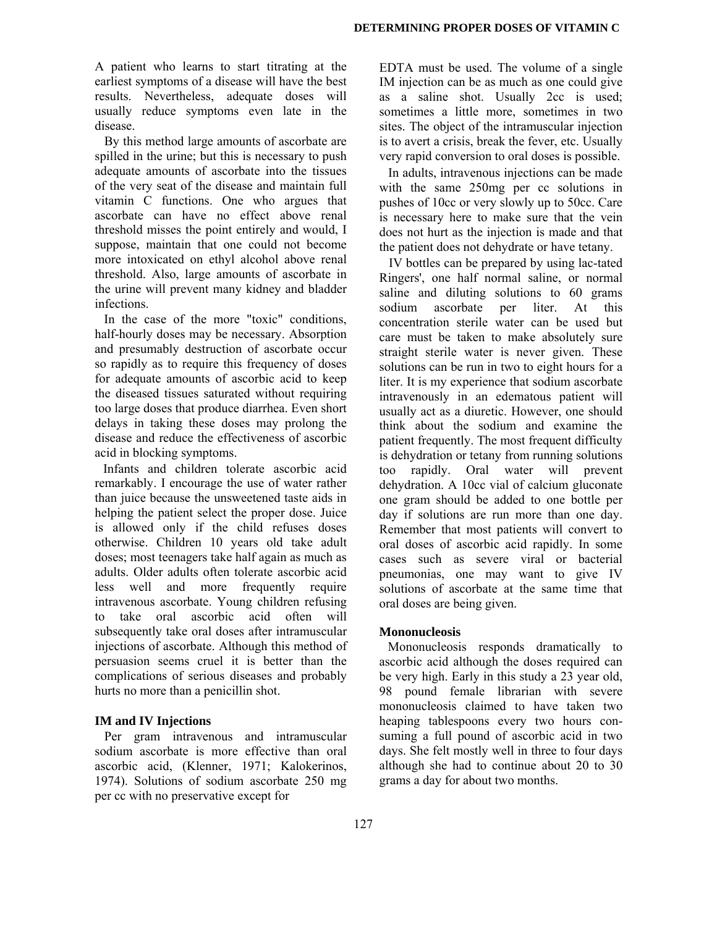A patient who learns to start titrating at the earliest symptoms of a disease will have the best results. Nevertheless, adequate doses will usually reduce symptoms even late in the disease.

By this method large amounts of ascorbate are spilled in the urine; but this is necessary to push adequate amounts of ascorbate into the tissues of the very seat of the disease and maintain full vitamin C functions. One who argues that ascorbate can have no effect above renal threshold misses the point entirely and would, I suppose, maintain that one could not become more intoxicated on ethyl alcohol above renal threshold. Also, large amounts of ascorbate in the urine will prevent many kidney and bladder infections.

In the case of the more "toxic" conditions, half-hourly doses may be necessary. Absorption and presumably destruction of ascorbate occur so rapidly as to require this frequency of doses for adequate amounts of ascorbic acid to keep the diseased tissues saturated without requiring too large doses that produce diarrhea. Even short delays in taking these doses may prolong the disease and reduce the effectiveness of ascorbic acid in blocking symptoms.

Infants and children tolerate ascorbic acid remarkably. I encourage the use of water rather than juice because the unsweetened taste aids in helping the patient select the proper dose. Juice is allowed only if the child refuses doses otherwise. Children 10 years old take adult doses; most teenagers take half again as much as adults. Older adults often tolerate ascorbic acid less well and more frequently require intravenous ascorbate. Young children refusing to take oral ascorbic acid often will subsequently take oral doses after intramuscular injections of ascorbate. Although this method of persuasion seems cruel it is better than the complications of serious diseases and probably hurts no more than a penicillin shot.

## **IM and IV Injections**

Per gram intravenous and intramuscular sodium ascorbate is more effective than oral ascorbic acid, (Klenner, 1971; Kalokerinos, 1974). Solutions of sodium ascorbate 250 mg per cc with no preservative except for

EDTA must be used. The volume of a single IM injection can be as much as one could give as a saline shot. Usually 2cc is used; sometimes a little more, sometimes in two sites. The object of the intramuscular injection is to avert a crisis, break the fever, etc. Usually very rapid conversion to oral doses is possible.

In adults, intravenous injections can be made with the same 250mg per cc solutions in pushes of 10cc or very slowly up to 50cc. Care is necessary here to make sure that the vein does not hurt as the injection is made and that the patient does not dehydrate or have tetany.

IV bottles can be prepared by using lac-tated Ringers', one half normal saline, or normal saline and diluting solutions to 60 grams sodium ascorbate per liter. At this concentration sterile water can be used but care must be taken to make absolutely sure straight sterile water is never given. These solutions can be run in two to eight hours for a liter. It is my experience that sodium ascorbate intravenously in an edematous patient will usually act as a diuretic. However, one should think about the sodium and examine the patient frequently. The most frequent difficulty is dehydration or tetany from running solutions too rapidly. Oral water will prevent dehydration. A 10cc vial of calcium gluconate one gram should be added to one bottle per day if solutions are run more than one day. Remember that most patients will convert to oral doses of ascorbic acid rapidly. In some cases such as severe viral or bacterial pneumonias, one may want to give IV solutions of ascorbate at the same time that oral doses are being given.

## **Mononucleosis**

Mononucleosis responds dramatically to ascorbic acid although the doses required can be very high. Early in this study a 23 year old, 98 pound female librarian with severe mononucleosis claimed to have taken two heaping tablespoons every two hours consuming a full pound of ascorbic acid in two days. She felt mostly well in three to four days although she had to continue about 20 to 30 grams a day for about two months.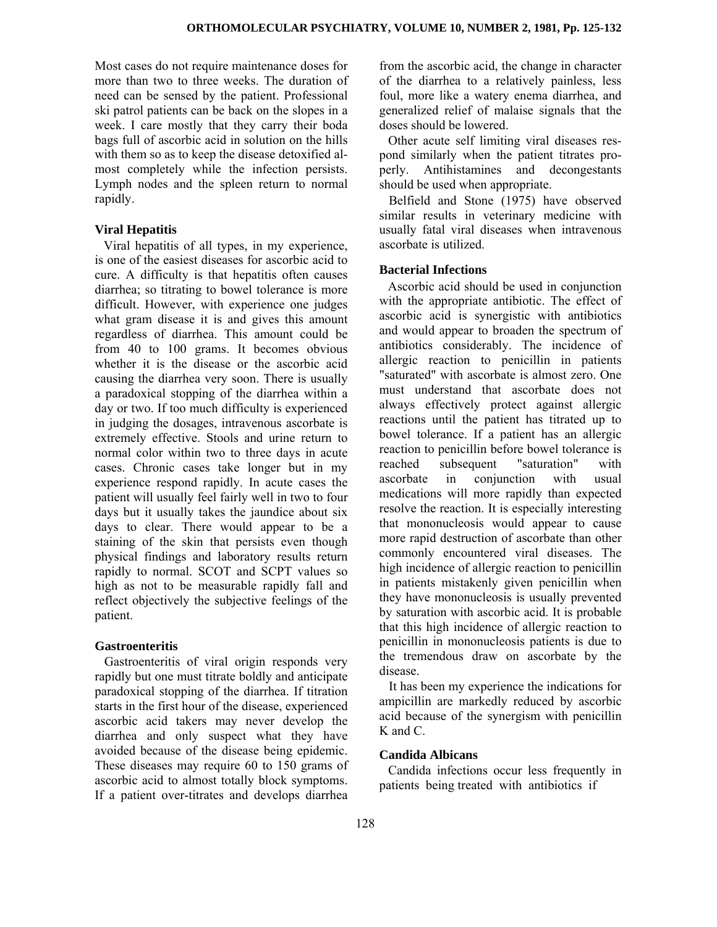Most cases do not require maintenance doses for more than two to three weeks. The duration of need can be sensed by the patient. Professional ski patrol patients can be back on the slopes in a week. I care mostly that they carry their boda bags full of ascorbic acid in solution on the hills with them so as to keep the disease detoxified almost completely while the infection persists. Lymph nodes and the spleen return to normal rapidly.

# **Viral Hepatitis**

Viral hepatitis of all types, in my experience, is one of the easiest diseases for ascorbic acid to cure. A difficulty is that hepatitis often causes diarrhea; so titrating to bowel tolerance is more difficult. However, with experience one judges what gram disease it is and gives this amount regardless of diarrhea. This amount could be from 40 to 100 grams. It becomes obvious whether it is the disease or the ascorbic acid causing the diarrhea very soon. There is usually a paradoxical stopping of the diarrhea within a day or two. If too much difficulty is experienced in judging the dosages, intravenous ascorbate is extremely effective. Stools and urine return to normal color within two to three days in acute cases. Chronic cases take longer but in my experience respond rapidly. In acute cases the patient will usually feel fairly well in two to four days but it usually takes the jaundice about six days to clear. There would appear to be a staining of the skin that persists even though physical findings and laboratory results return rapidly to normal. SCOT and SCPT values so high as not to be measurable rapidly fall and reflect objectively the subjective feelings of the patient.

# **Gastroenteritis**

Gastroenteritis of viral origin responds very rapidly but one must titrate boldly and anticipate paradoxical stopping of the diarrhea. If titration starts in the first hour of the disease, experienced ascorbic acid takers may never develop the diarrhea and only suspect what they have avoided because of the disease being epidemic. These diseases may require 60 to 150 grams of ascorbic acid to almost totally block symptoms. If a patient over-titrates and develops diarrhea from the ascorbic acid, the change in character of the diarrhea to a relatively painless, less foul, more like a watery enema diarrhea, and generalized relief of malaise signals that the doses should be lowered.

Other acute self limiting viral diseases respond similarly when the patient titrates properly. Antihistamines and decongestants should be used when appropriate.

Belfield and Stone (1975) have observed similar results in veterinary medicine with usually fatal viral diseases when intravenous ascorbate is utilized.

# **Bacterial Infections**

Ascorbic acid should be used in conjunction with the appropriate antibiotic. The effect of ascorbic acid is synergistic with antibiotics and would appear to broaden the spectrum of antibiotics considerably. The incidence of allergic reaction to penicillin in patients "saturated" with ascorbate is almost zero. One must understand that ascorbate does not always effectively protect against allergic reactions until the patient has titrated up to bowel tolerance. If a patient has an allergic reaction to penicillin before bowel tolerance is reached subsequent "saturation" with ascorbate in conjunction with usual medications will more rapidly than expected resolve the reaction. It is especially interesting that mononucleosis would appear to cause more rapid destruction of ascorbate than other commonly encountered viral diseases. The high incidence of allergic reaction to penicillin in patients mistakenly given penicillin when they have mononucleosis is usually prevented by saturation with ascorbic acid. It is probable that this high incidence of allergic reaction to penicillin in mononucleosis patients is due to the tremendous draw on ascorbate by the disease.

It has been my experience the indications for ampicillin are markedly reduced by ascorbic acid because of the synergism with penicillin K and C.

# **Candida Albicans**

Candida infections occur less frequently in patients being treated with antibiotics if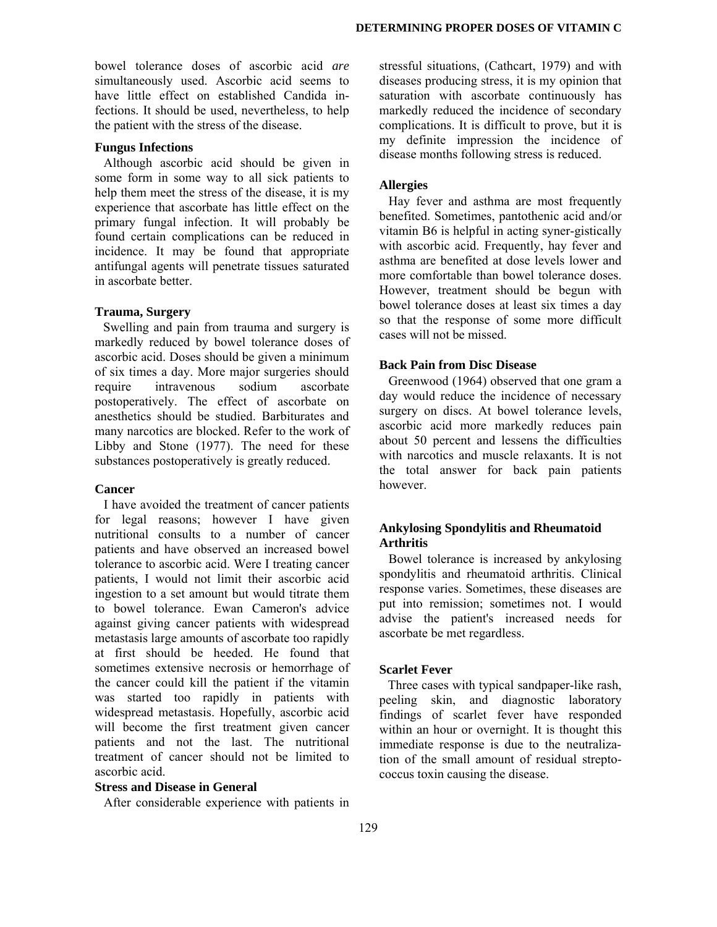bowel tolerance doses of ascorbic acid *are*  simultaneously used. Ascorbic acid seems to have little effect on established Candida infections. It should be used, nevertheless, to help the patient with the stress of the disease.

## **Fungus Infections**

Although ascorbic acid should be given in some form in some way to all sick patients to help them meet the stress of the disease, it is my experience that ascorbate has little effect on the primary fungal infection. It will probably be found certain complications can be reduced in incidence. It may be found that appropriate antifungal agents will penetrate tissues saturated in ascorbate better.

## **Trauma, Surgery**

Swelling and pain from trauma and surgery is markedly reduced by bowel tolerance doses of ascorbic acid. Doses should be given a minimum of six times a day. More major surgeries should require intravenous sodium ascorbate postoperatively. The effect of ascorbate on anesthetics should be studied. Barbiturates and many narcotics are blocked. Refer to the work of Libby and Stone (1977). The need for these substances postoperatively is greatly reduced.

## **Cancer**

I have avoided the treatment of cancer patients for legal reasons; however I have given nutritional consults to a number of cancer patients and have observed an increased bowel tolerance to ascorbic acid. Were I treating cancer patients, I would not limit their ascorbic acid ingestion to a set amount but would titrate them to bowel tolerance. Ewan Cameron's advice against giving cancer patients with widespread metastasis large amounts of ascorbate too rapidly at first should be heeded. He found that sometimes extensive necrosis or hemorrhage of the cancer could kill the patient if the vitamin was started too rapidly in patients with widespread metastasis. Hopefully, ascorbic acid will become the first treatment given cancer patients and not the last. The nutritional treatment of cancer should not be limited to ascorbic acid.

# **Stress and Disease in General**

After considerable experience with patients in

stressful situations, (Cathcart, 1979) and with diseases producing stress, it is my opinion that saturation with ascorbate continuously has markedly reduced the incidence of secondary complications. It is difficult to prove, but it is my definite impression the incidence of disease months following stress is reduced.

## **Allergies**

Hay fever and asthma are most frequently benefited. Sometimes, pantothenic acid and/or vitamin B6 is helpful in acting syner-gistically with ascorbic acid. Frequently, hay fever and asthma are benefited at dose levels lower and more comfortable than bowel tolerance doses. However, treatment should be begun with bowel tolerance doses at least six times a day so that the response of some more difficult cases will not be missed.

#### **Back Pain from Disc Disease**

Greenwood (1964) observed that one gram a day would reduce the incidence of necessary surgery on discs. At bowel tolerance levels, ascorbic acid more markedly reduces pain about 50 percent and lessens the difficulties with narcotics and muscle relaxants. It is not the total answer for back pain patients however.

# **Ankylosing Spondylitis and Rheumatoid Arthritis**

Bowel tolerance is increased by ankylosing spondylitis and rheumatoid arthritis. Clinical response varies. Sometimes, these diseases are put into remission; sometimes not. I would advise the patient's increased needs for ascorbate be met regardless.

## **Scarlet Fever**

Three cases with typical sandpaper-like rash, peeling skin, and diagnostic laboratory findings of scarlet fever have responded within an hour or overnight. It is thought this immediate response is due to the neutralization of the small amount of residual streptococcus toxin causing the disease.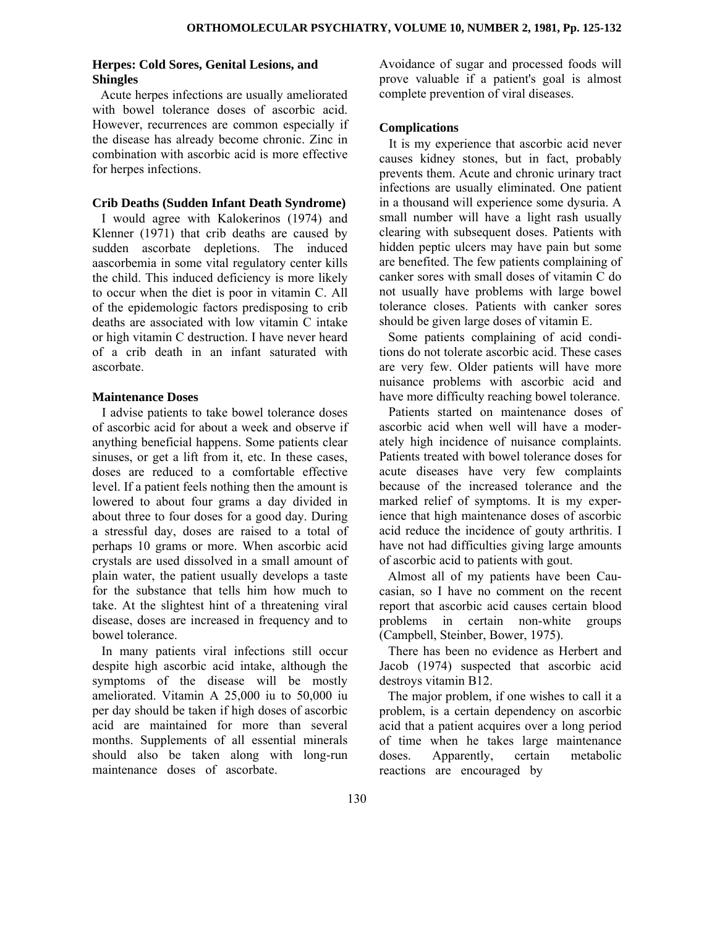# **Herpes: Cold Sores, Genital Lesions, and Shingles**

Acute herpes infections are usually ameliorated with bowel tolerance doses of ascorbic acid. However, recurrences are common especially if the disease has already become chronic. Zinc in combination with ascorbic acid is more effective for herpes infections.

#### **Crib Deaths (Sudden Infant Death Syndrome)**

I would agree with Kalokerinos (1974) and Klenner (1971) that crib deaths are caused by sudden ascorbate depletions. The induced aascorbemia in some vital regulatory center kills the child. This induced deficiency is more likely to occur when the diet is poor in vitamin C. All of the epidemologic factors predisposing to crib deaths are associated with low vitamin C intake or high vitamin C destruction. I have never heard of a crib death in an infant saturated with ascorbate.

## **Maintenance Doses**

I advise patients to take bowel tolerance doses of ascorbic acid for about a week and observe if anything beneficial happens. Some patients clear sinuses, or get a lift from it, etc. In these cases, doses are reduced to a comfortable effective level. If a patient feels nothing then the amount is lowered to about four grams a day divided in about three to four doses for a good day. During a stressful day, doses are raised to a total of perhaps 10 grams or more. When ascorbic acid crystals are used dissolved in a small amount of plain water, the patient usually develops a taste for the substance that tells him how much to take. At the slightest hint of a threatening viral disease, doses are increased in frequency and to bowel tolerance.

In many patients viral infections still occur despite high ascorbic acid intake, although the symptoms of the disease will be mostly ameliorated. Vitamin A 25,000 iu to 50,000 iu per day should be taken if high doses of ascorbic acid are maintained for more than several months. Supplements of all essential minerals should also be taken along with long-run maintenance doses of ascorbate.

Avoidance of sugar and processed foods will prove valuable if a patient's goal is almost complete prevention of viral diseases.

#### **Complications**

It is my experience that ascorbic acid never causes kidney stones, but in fact, probably prevents them. Acute and chronic urinary tract infections are usually eliminated. One patient in a thousand will experience some dysuria. A small number will have a light rash usually clearing with subsequent doses. Patients with hidden peptic ulcers may have pain but some are benefited. The few patients complaining of canker sores with small doses of vitamin C do not usually have problems with large bowel tolerance closes. Patients with canker sores should be given large doses of vitamin E.

Some patients complaining of acid conditions do not tolerate ascorbic acid. These cases are very few. Older patients will have more nuisance problems with ascorbic acid and have more difficulty reaching bowel tolerance.

Patients started on maintenance doses of ascorbic acid when well will have a moderately high incidence of nuisance complaints. Patients treated with bowel tolerance doses for acute diseases have very few complaints because of the increased tolerance and the marked relief of symptoms. It is my experience that high maintenance doses of ascorbic acid reduce the incidence of gouty arthritis. I have not had difficulties giving large amounts of ascorbic acid to patients with gout.

Almost all of my patients have been Caucasian, so I have no comment on the recent report that ascorbic acid causes certain blood problems in certain non-white groups (Campbell, Steinber, Bower, 1975).

There has been no evidence as Herbert and Jacob (1974) suspected that ascorbic acid destroys vitamin B12.

The major problem, if one wishes to call it a problem, is a certain dependency on ascorbic acid that a patient acquires over a long period of time when he takes large maintenance doses. Apparently, certain metabolic reactions are encouraged by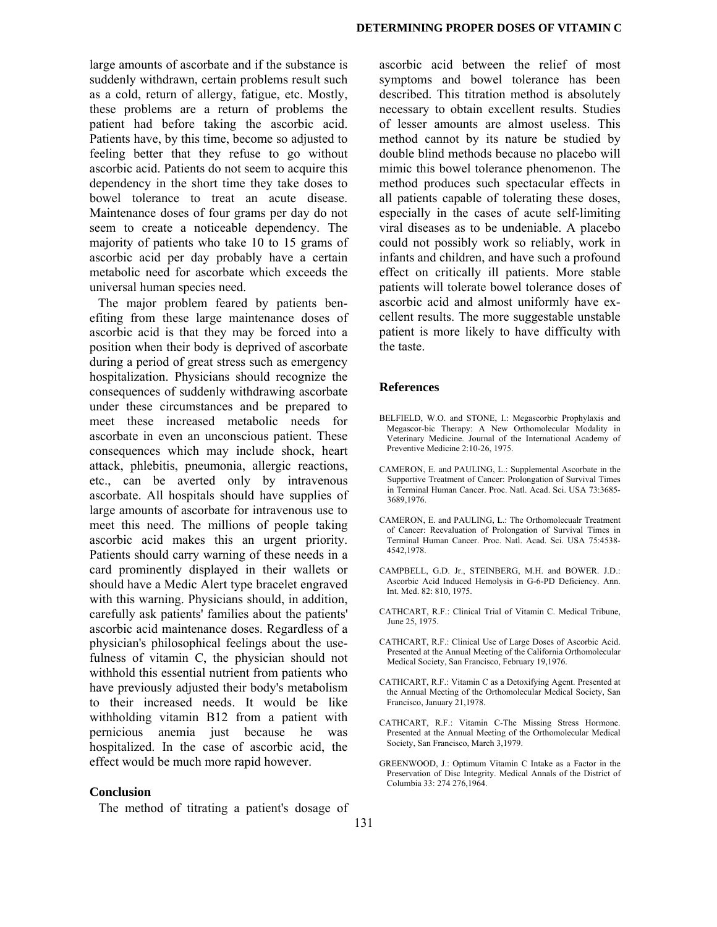large amounts of ascorbate and if the substance is suddenly withdrawn, certain problems result such as a cold, return of allergy, fatigue, etc. Mostly, these problems are a return of problems the patient had before taking the ascorbic acid. Patients have, by this time, become so adjusted to feeling better that they refuse to go without ascorbic acid. Patients do not seem to acquire this dependency in the short time they take doses to bowel tolerance to treat an acute disease. Maintenance doses of four grams per day do not seem to create a noticeable dependency. The majority of patients who take 10 to 15 grams of ascorbic acid per day probably have a certain metabolic need for ascorbate which exceeds the universal human species need.

The major problem feared by patients benefiting from these large maintenance doses of ascorbic acid is that they may be forced into a position when their body is deprived of ascorbate during a period of great stress such as emergency hospitalization. Physicians should recognize the consequences of suddenly withdrawing ascorbate under these circumstances and be prepared to meet these increased metabolic needs for ascorbate in even an unconscious patient. These consequences which may include shock, heart attack, phlebitis, pneumonia, allergic reactions, etc., can be averted only by intravenous ascorbate. All hospitals should have supplies of large amounts of ascorbate for intravenous use to meet this need. The millions of people taking ascorbic acid makes this an urgent priority. Patients should carry warning of these needs in a card prominently displayed in their wallets or should have a Medic Alert type bracelet engraved with this warning. Physicians should, in addition, carefully ask patients' families about the patients' ascorbic acid maintenance doses. Regardless of a physician's philosophical feelings about the usefulness of vitamin C, the physician should not withhold this essential nutrient from patients who have previously adjusted their body's metabolism to their increased needs. It would be like withholding vitamin B12 from a patient with pernicious anemia just because he was hospitalized. In the case of ascorbic acid, the effect would be much more rapid however.

# **Conclusion**

The method of titrating a patient's dosage of

ascorbic acid between the relief of most symptoms and bowel tolerance has been described. This titration method is absolutely necessary to obtain excellent results. Studies of lesser amounts are almost useless. This method cannot by its nature be studied by double blind methods because no placebo will mimic this bowel tolerance phenomenon. The method produces such spectacular effects in all patients capable of tolerating these doses, especially in the cases of acute self-limiting viral diseases as to be undeniable. A placebo could not possibly work so reliably, work in infants and children, and have such a profound effect on critically ill patients. More stable patients will tolerate bowel tolerance doses of ascorbic acid and almost uniformly have excellent results. The more suggestable unstable patient is more likely to have difficulty with the taste.

#### **References**

- BELFIELD, W.O. and STONE, I.: Megascorbic Prophylaxis and Megascor-bic Therapy: A New Orthomolecular Modality in Veterinary Medicine. Journal of the International Academy of Preventive Medicine 2:10-26, 1975.
- CAMERON, E. and PAULING, L.: Supplemental Ascorbate in the Supportive Treatment of Cancer: Prolongation of Survival Times in Terminal Human Cancer. Proc. Natl. Acad. Sci. USA 73:3685- 3689,1976.
- CAMERON, E. and PAULING, L.: The Orthomolecualr Treatment of Cancer: Reevaluation of Prolongation of Survival Times in Terminal Human Cancer. Proc. Natl. Acad. Sci. USA 75:4538- 4542,1978.
- CAMPBELL, G.D. Jr., STEINBERG, M.H. and BOWER. J.D.: Ascorbic Acid Induced Hemolysis in G-6-PD Deficiency. Ann. Int. Med. 82: 810, 1975.
- CATHCART, R.F.: Clinical Trial of Vitamin C. Medical Tribune, June 25, 1975.
- CATHCART, R.F.: Clinical Use of Large Doses of Ascorbic Acid. Presented at the Annual Meeting of the California Orthomolecular Medical Society, San Francisco, February 19,1976.
- CATHCART, R.F.: Vitamin C as a Detoxifying Agent. Presented at the Annual Meeting of the Orthomolecular Medical Society, San Francisco, January 21,1978.
- CATHCART, R.F.: Vitamin C-The Missing Stress Hormone. Presented at the Annual Meeting of the Orthomolecular Medical Society, San Francisco, March 3,1979.
- GREENWOOD, J.: Optimum Vitamin C Intake as a Factor in the Preservation of Disc Integrity. Medical Annals of the District of Columbia 33: 274 276,1964.